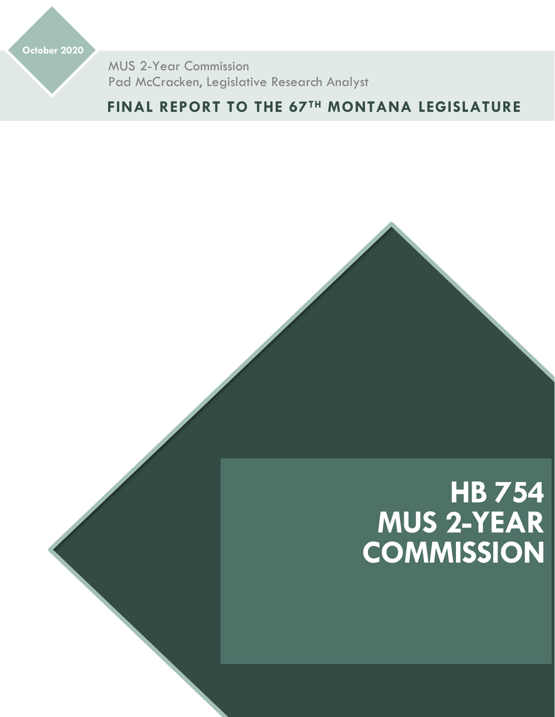**October 2020**

MUS 2-Year Commission Pad McCracken, Legislative Research Analyst

**FINAL REPORT TO THE 67TH MONTANA LEGISLATURE**

# **HB 754 MUS 2-YEAR COMMISSION**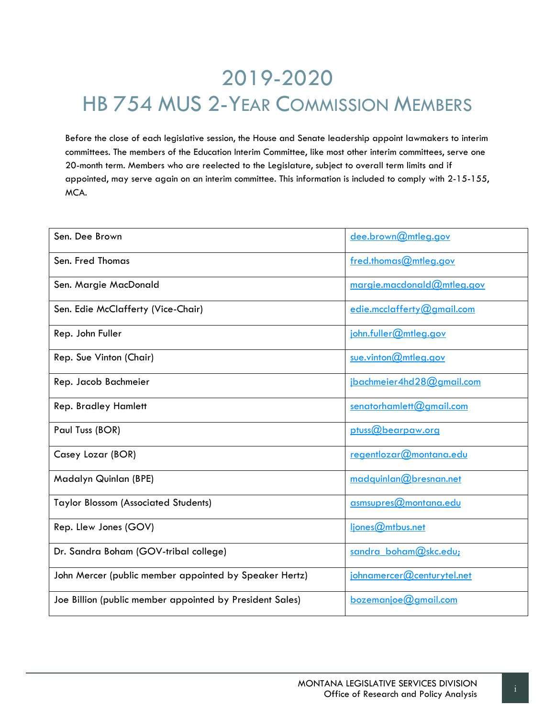# 2019-2020 HB 754 MUS 2-YEAR COMMISSION MEMBERS

Before the close of each legislative session, the House and Senate leadership appoint lawmakers to interim committees. The members of the Education Interim Committee, like most other interim committees, serve one 20-month term. Members who are reelected to the Legislature, subject to overall term limits and if appointed, may serve again on an interim committee. This information is included to comply with 2-15-155, MCA.

| Sen. Dee Brown                                           | dee.brown@mtleg.gov         |
|----------------------------------------------------------|-----------------------------|
| Sen. Fred Thomas                                         | fred.thomas@mtleg.gov       |
| Sen. Margie MacDonald                                    | margie.macdonald@mtleg.gov  |
| Sen. Edie McClafferty (Vice-Chair)                       | edie.mcclafferty@gmail.com  |
| Rep. John Fuller                                         | john.fuller@mtleg.gov       |
| Rep. Sue Vinton (Chair)                                  | sue.vinton@mtleg.gov        |
| Rep. Jacob Bachmeier                                     | jbachmeier4hd28@gmail.com   |
| <b>Rep. Bradley Hamlett</b>                              | $s$ enatorhamlett@gmail.com |
| Paul Tuss (BOR)                                          | ptuss@bearpaw.org           |
| Casey Lozar (BOR)                                        | regentlozar@montana.edu     |
| Madalyn Quinlan (BPE)                                    | madquinlan@bresnan.net      |
| <b>Taylor Blossom (Associated Students)</b>              | asmsupres@montana.edu       |
| Rep. Llew Jones (GOV)                                    | ljones@mtbus.net            |
| Dr. Sandra Boham (GOV-tribal college)                    | sandra boham@skc.edu;       |
| John Mercer (public member appointed by Speaker Hertz)   | johnamercer@centurytel.net  |
| Joe Billion (public member appointed by President Sales) | $b$ ozemanjoe $@$ gmail.com |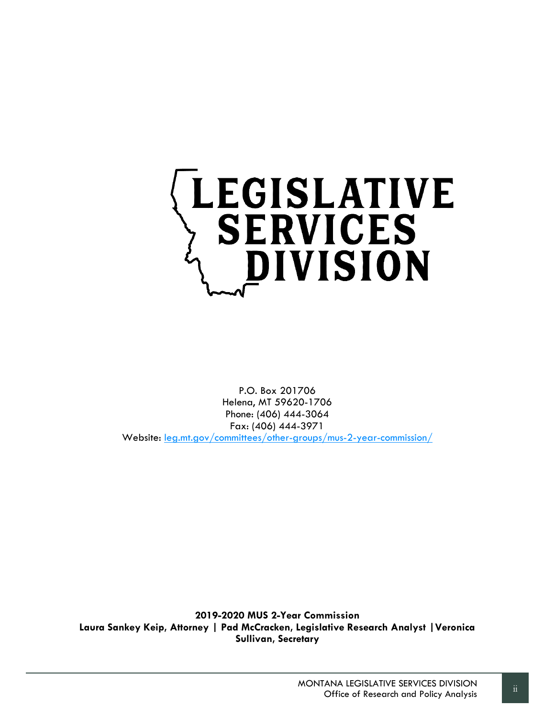

P.O. Box 201706 Helena, MT 59620-1706 Phone: (406) 444-3064 Fax: (406) 444-3971 Website: [leg.mt.gov/committees/other-groups/mus-2-year-commission/](https://leg.mt.gov/committees/other-groups/mus-2-year-commission/)

**2019-2020 MUS 2-Year Commission Laura Sankey Keip, Attorney | Pad McCracken, Legislative Research Analyst |Veronica Sullivan, Secretary**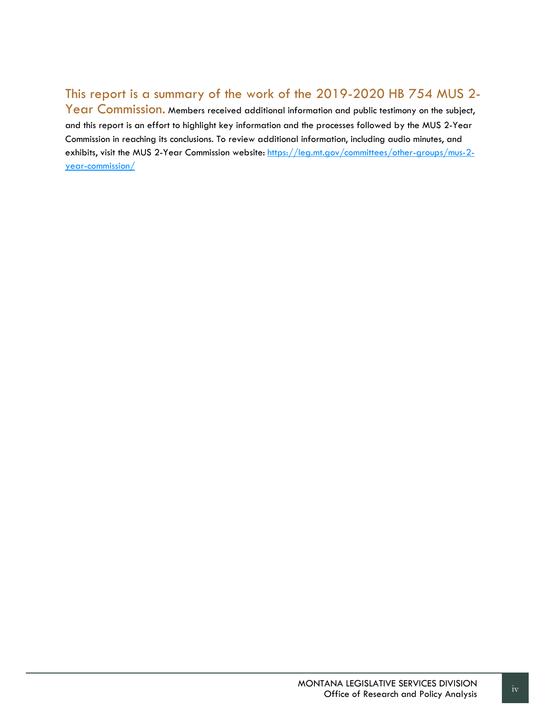#### This report is a summary of the work of the 2019-2020 HB 754 MUS 2-

Year Commission. Members received additional information and public testimony on the subject, and this report is an effort to highlight key information and the processes followed by the MUS 2-Year Commission in reaching its conclusions. To review additional information, including audio minutes, and exhibits, visit the MUS 2-Year Commission website: [https://leg.mt.gov/committees/other-groups/mus-2](https://leg.mt.gov/committees/other-groups/mus-2-year-commission/) [year-commission/](https://leg.mt.gov/committees/other-groups/mus-2-year-commission/)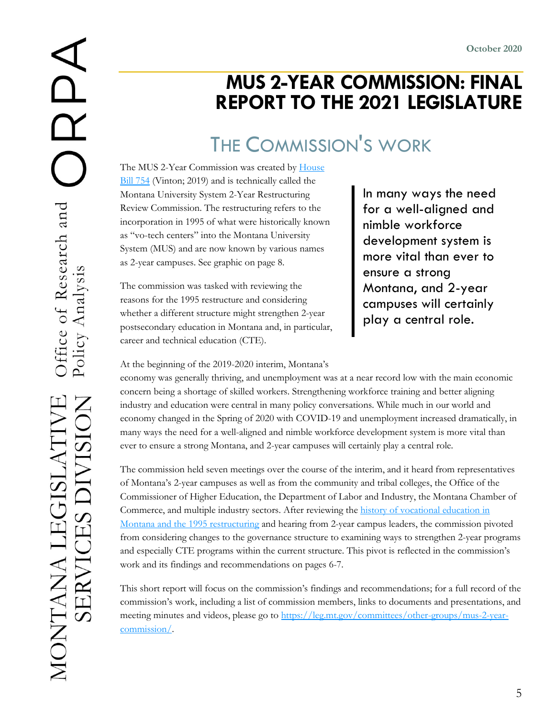### **MUS 2-YEAR COMMISSION: FINAL REPORT TO THE 2021 LEGISLATURE**

## THE COMMISSION'S WORK

The MUS 2-Year Commission was created by House [Bill 754](https://leg.mt.gov/bills/2019/billhtml/HB0754.htm) (Vinton; 2019) and is technically called the Montana University System 2-Year Restructuring Review Commission. The restructuring refers to the incorporation in 1995 of what were historically known as "vo-tech centers" into the Montana University System (MUS) and are now known by various names as 2-year campuses. See graphic on page 8.

The commission was tasked with reviewing the reasons for the 1995 restructure and considering whether a different structure might strengthen 2-year postsecondary education in Montana and, in particular, career and technical education (CTE).

In many ways the need for a well-aligned and nimble workforce development system is more vital than ever to ensure a strong Montana, and 2-year campuses will certainly play a central role.

At the beginning of the 2019-2020 interim, Montana's

economy was generally thriving, and unemployment was at a near record low with the main economic concern being a shortage of skilled workers. Strengthening workforce training and better aligning industry and education were central in many policy conversations. While much in our world and economy changed in the Spring of 2020 with COVID-19 and unemployment increased dramatically, in many ways the need for a well-aligned and nimble workforce development system is more vital than ever to ensure a strong Montana, and 2-year campuses will certainly play a central role.

The commission held seven meetings over the course of the interim, and it heard from representatives of Montana's 2-year campuses as well as from the community and tribal colleges, the Office of the Commissioner of Higher Education, the Department of Labor and Industry, the Montana Chamber of Commerce, and multiple industry sectors. After reviewing the history of vocational education in [Montana and the 1995 restructuring](https://leg.mt.gov/content/Committees/Interim/2019-2020/HB-754-MUS-2-Year-Commission/Nov-2019/Memo-vo-tech-history.pdf) and hearing from 2-year campus leaders, the commission pivoted from considering changes to the governance structure to examining ways to strengthen 2-year programs and especially CTE programs within the current structure. This pivot is reflected in the commission's work and its findings and recommendations on pages 6-7.

This short report will focus on the commission's findings and recommendations; for a full record of the commission's work, including a list of commission members, links to documents and presentations, and meeting minutes and videos, please go to [https://leg.mt.gov/committees/other-groups/mus-2-year](https://leg.mt.gov/committees/other-groups/mus-2-year-commission/)[commission/.](https://leg.mt.gov/committees/other-groups/mus-2-year-commission/)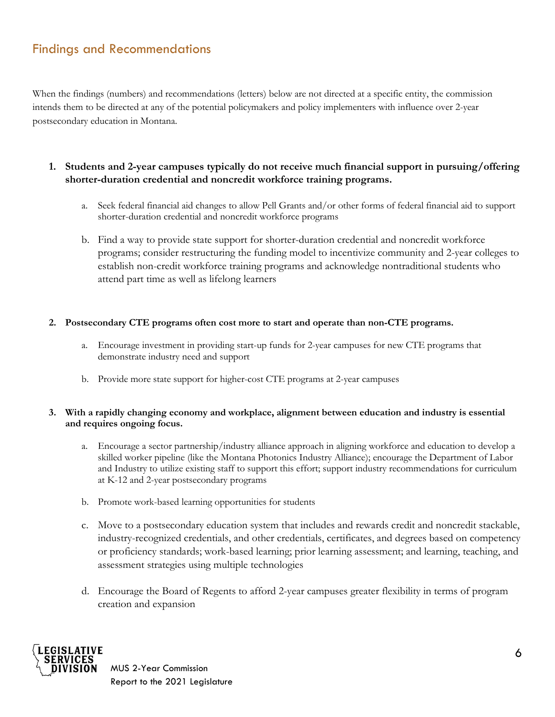#### Findings and Recommendations

When the findings (numbers) and recommendations (letters) below are not directed at a specific entity, the commission intends them to be directed at any of the potential policymakers and policy implementers with influence over 2-year postsecondary education in Montana.

#### **1. Students and 2-year campuses typically do not receive much financial support in pursuing/offering shorter-duration credential and noncredit workforce training programs.**

- a. Seek federal financial aid changes to allow Pell Grants and/or other forms of federal financial aid to support shorter-duration credential and noncredit workforce programs
- b. Find a way to provide state support for shorter-duration credential and noncredit workforce programs; consider restructuring the funding model to incentivize community and 2-year colleges to establish non-credit workforce training programs and acknowledge nontraditional students who attend part time as well as lifelong learners

#### **2. Postsecondary CTE programs often cost more to start and operate than non-CTE programs.**

- a. Encourage investment in providing start-up funds for 2-year campuses for new CTE programs that demonstrate industry need and support
- b. Provide more state support for higher-cost CTE programs at 2-year campuses

#### **3. With a rapidly changing economy and workplace, alignment between education and industry is essential and requires ongoing focus.**

- a. Encourage a sector partnership/industry alliance approach in aligning workforce and education to develop a skilled worker pipeline (like the Montana Photonics Industry Alliance); encourage the Department of Labor and Industry to utilize existing staff to support this effort; support industry recommendations for curriculum at K-12 and 2-year postsecondary programs
- b. Promote work-based learning opportunities for students
- c. Move to a postsecondary education system that includes and rewards credit and noncredit stackable, industry-recognized credentials, and other credentials, certificates, and degrees based on competency or proficiency standards; work-based learning; prior learning assessment; and learning, teaching, and assessment strategies using multiple technologies
- d. Encourage the Board of Regents to afford 2-year campuses greater flexibility in terms of program creation and expansion

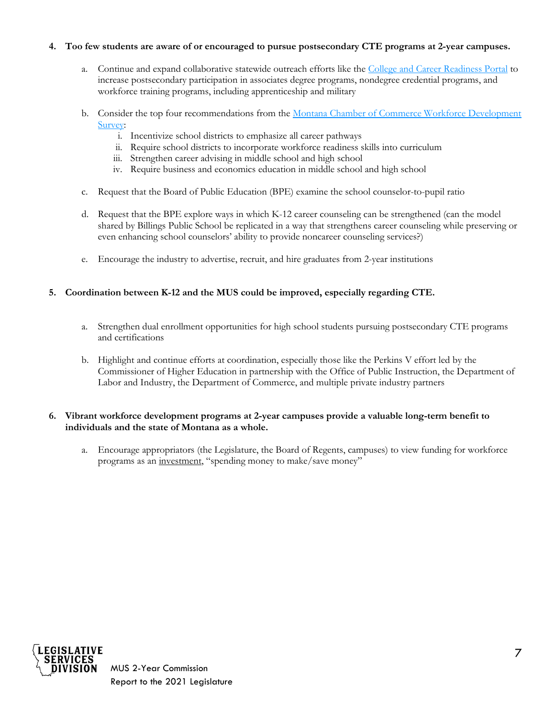#### **4. Too few students are aware of or encouraged to pursue postsecondary CTE programs at 2-year campuses.**

- a. Continue and expand collaborative statewide outreach efforts like the [College and Career Readiness Portal](https://www.reachhighermontana.org/) to increase postsecondary participation in associates degree programs, nondegree credential programs, and workforce training programs, including apprenticeship and military
- b. Consider the top four recommendations from the Montana Chamber of Commerce Workforce Development [Survey:](https://leg.mt.gov/content/Committees/Interim/2019-2020/HB-754-MUS-2-Year-Commission/Minutes/January-2020/MTCC%20Workforce%20Development%20Infographic%202020%20%5bPanels%5d.pdf)
	- i. Incentivize school districts to emphasize all career pathways
	- ii. Require school districts to incorporate workforce readiness skills into curriculum
	- iii. Strengthen career advising in middle school and high school
	- iv. Require business and economics education in middle school and high school
- c. Request that the Board of Public Education (BPE) examine the school counselor-to-pupil ratio
- d. Request that the BPE explore ways in which K-12 career counseling can be strengthened (can the model shared by Billings Public School be replicated in a way that strengthens career counseling while preserving or even enhancing school counselors' ability to provide noncareer counseling services?)
- e. Encourage the industry to advertise, recruit, and hire graduates from 2-year institutions

#### **5. Coordination between K-12 and the MUS could be improved, especially regarding CTE.**

- a. Strengthen dual enrollment opportunities for high school students pursuing postsecondary CTE programs and certifications
- b. Highlight and continue efforts at coordination, especially those like the Perkins V effort led by the Commissioner of Higher Education in partnership with the Office of Public Instruction, the Department of Labor and Industry, the Department of Commerce, and multiple private industry partners

#### **6. Vibrant workforce development programs at 2-year campuses provide a valuable long-term benefit to individuals and the state of Montana as a whole.**

a. Encourage appropriators (the Legislature, the Board of Regents, campuses) to view funding for workforce programs as an investment, "spending money to make/save money"